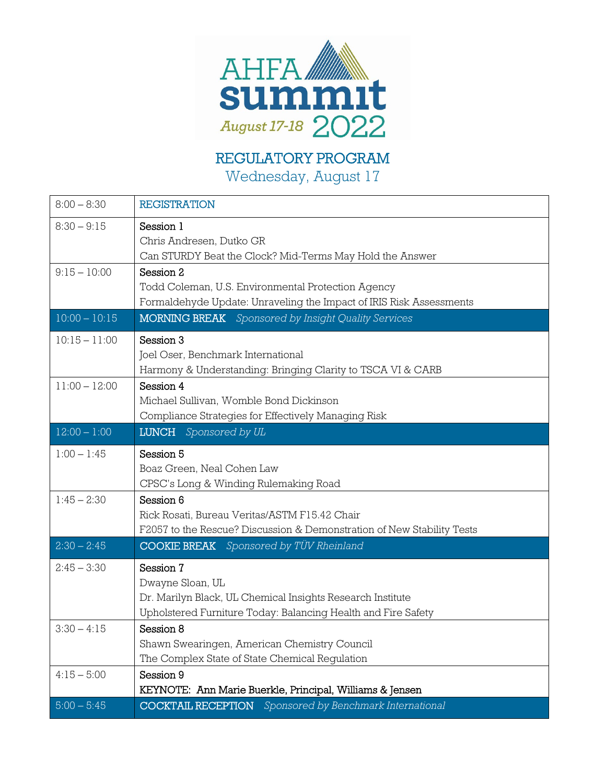

REGULATORY PROGRAM

Wednesday, August 17

| $8:00 - 8:30$   | <b>REGISTRATION</b>                                                                                                                                          |
|-----------------|--------------------------------------------------------------------------------------------------------------------------------------------------------------|
| $8:30 - 9:15$   | Session 1<br>Chris Andresen, Dutko GR<br>Can STURDY Beat the Clock? Mid-Terms May Hold the Answer                                                            |
| $9:15 - 10:00$  | Session 2<br>Todd Coleman, U.S. Environmental Protection Agency<br>Formaldehyde Update: Unraveling the Impact of IRIS Risk Assessments                       |
| $10:00 - 10:15$ | <b>MORNING BREAK</b> Sponsored by Insight Quality Services                                                                                                   |
| $10:15 - 11:00$ | Session 3<br>Joel Oser, Benchmark International<br>Harmony & Understanding: Bringing Clarity to TSCA VI & CARB                                               |
| $11:00 - 12:00$ | Session 4<br>Michael Sullivan, Womble Bond Dickinson<br>Compliance Strategies for Effectively Managing Risk                                                  |
| $12:00 - 1:00$  | <b>LUNCH</b> Sponsored by UL                                                                                                                                 |
| $1:00 - 1:45$   | Session 5<br>Boaz Green, Neal Cohen Law<br>CPSC's Long & Winding Rulemaking Road                                                                             |
| $1:45 - 2:30$   | Session 6<br>Rick Rosati, Bureau Veritas/ASTM F15.42 Chair<br>F2057 to the Rescue? Discussion & Demonstration of New Stability Tests                         |
| $2:30 - 2:45$   | <b>COOKIE BREAK</b> Sponsored by TÜV Rheinland                                                                                                               |
| $2:45 - 3:30$   | Session 7<br>Dwayne Sloan, UL<br>Dr. Marilyn Black, UL Chemical Insights Research Institute<br>Upholstered Furniture Today: Balancing Health and Fire Safety |
| $3:30 - 4:15$   | Session 8<br>Shawn Swearingen, American Chemistry Council<br>The Complex State of State Chemical Regulation                                                  |
| $4:15 - 5:00$   | Session 9<br>KEYNOTE: Ann Marie Buerkle, Principal, Williams & Jensen                                                                                        |
| $5:00 - 5:45$   | <b>COCKTAIL RECEPTION</b> Sponsored by Benchmark International                                                                                               |